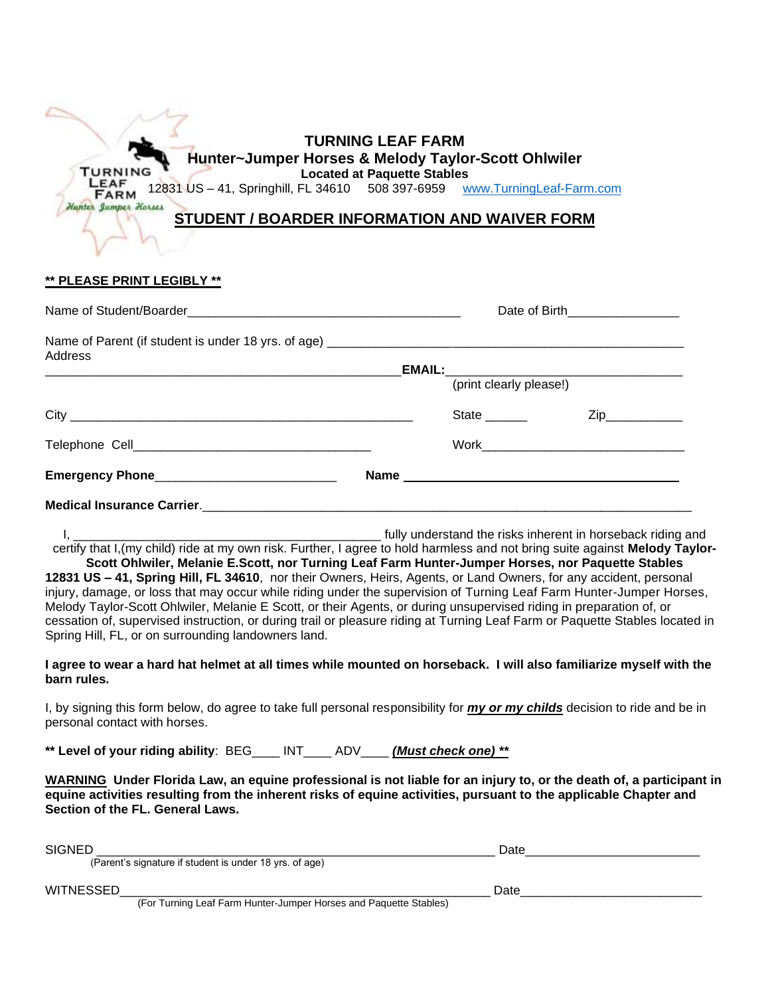| Hunter~Jumper Horses & Melody Taylor-Scott Ohlwiler<br><b>TURNING</b><br>LEAF<br>12831 US - 41, Springhill, FL 34610 508 397-6959 www.TurningLeaf-Farm.com<br><b>FARM</b> |                                    |  |  |  |  |  |
|---------------------------------------------------------------------------------------------------------------------------------------------------------------------------|------------------------------------|--|--|--|--|--|
|                                                                                                                                                                           |                                    |  |  |  |  |  |
|                                                                                                                                                                           | <b>Located at Paquette Stables</b> |  |  |  |  |  |
|                                                                                                                                                                           |                                    |  |  |  |  |  |
| Hunter Jumper Horses                                                                                                                                                      |                                    |  |  |  |  |  |
| STUDENT / BOARDER INFORMATION AND WAIVER FORM                                                                                                                             |                                    |  |  |  |  |  |

## **\*\* PLEASE PRINT LEGIBLY \*\***

|         |                          | Date of Birth__________________ |
|---------|--------------------------|---------------------------------|
| Address |                          |                                 |
|         |                          |                                 |
|         | (print clearly please!)  |                                 |
|         | State <sub>_______</sub> | Zip                             |
|         |                          |                                 |
|         |                          |                                 |
|         |                          |                                 |

I, \_\_\_\_\_\_\_\_\_\_\_\_\_\_\_\_\_\_\_\_\_\_\_\_\_\_\_\_\_\_\_\_\_\_\_\_\_\_\_\_\_\_\_\_ fully understand the risks inherent in horseback riding and certify that I,(my child) ride at my own risk. Further, I agree to hold harmless and not bring suite against **Melody Taylor-**

**Scott Ohlwiler, Melanie E.Scott, nor Turning Leaf Farm Hunter-Jumper Horses, nor Paquette Stables 12831 US – 41, Spring Hill, FL 34610**, nor their Owners, Heirs, Agents, or Land Owners, for any accident, personal injury, damage, or loss that may occur while riding under the supervision of Turning Leaf Farm Hunter-Jumper Horses, Melody Taylor-Scott Ohlwiler, Melanie E Scott, or their Agents, or during unsupervised riding in preparation of, or cessation of, supervised instruction, or during trail or pleasure riding at Turning Leaf Farm or Paquette Stables located in Spring Hill, FL, or on surrounding landowners land.

## **I agree to wear a hard hat helmet at all times while mounted on horseback. I will also familiarize myself with the barn rules.**

I, by signing this form below, do agree to take full personal responsibility for *my or my childs* decision to ride and be in personal contact with horses.

**\*\* Level of your riding ability**: BEG\_\_\_\_ INT\_\_\_\_ ADV\_\_\_\_ *(Must check one) \*\**

**WARNING Under Florida Law, an equine professional is not liable for an injury to, or the death of, a participant in equine activities resulting from the inherent risks of equine activities, pursuant to the applicable Chapter and Section of the FL. General Laws.**

| <b>SIGNED</b>                                                     | Date |
|-------------------------------------------------------------------|------|
| (Parent's signature if student is under 18 yrs. of age)           |      |
| <b>WITNESSED</b>                                                  | Date |
| (For Turning Leaf Farm Hunter-Jumper Horses and Paquette Stables) |      |